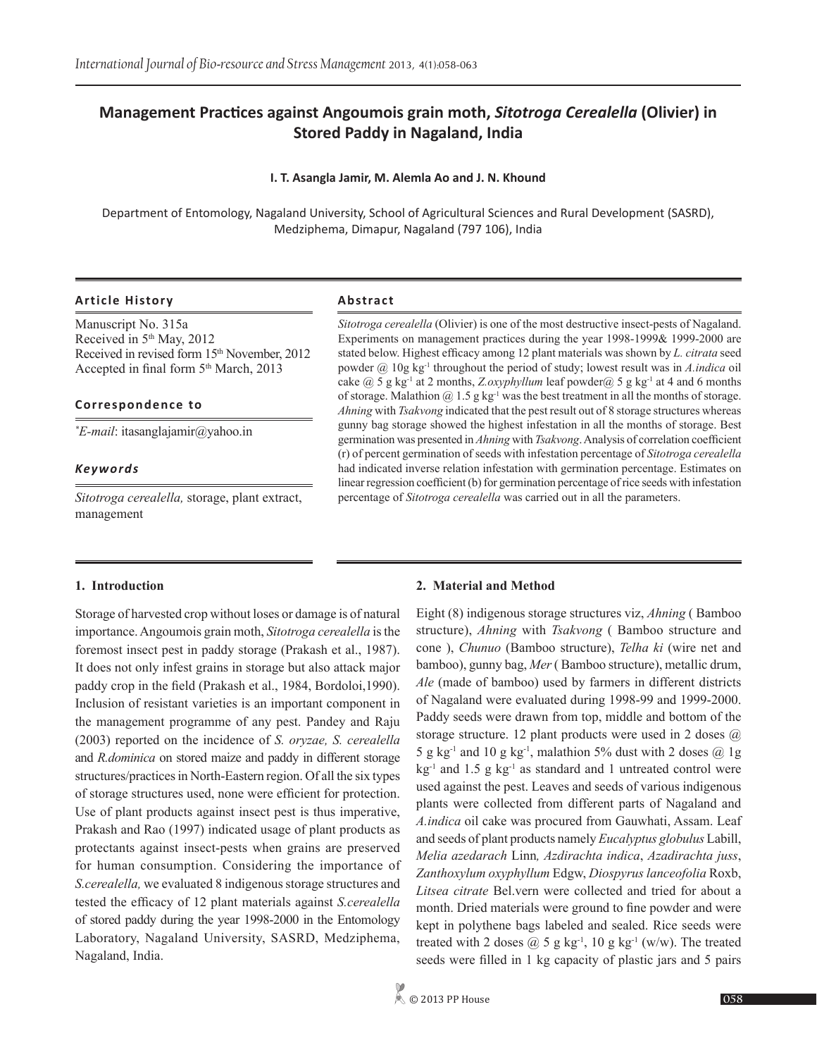# **Management Practices against Angoumois grain moth,** *Sitotroga Cerealella* **(Olivier) in Stored Paddy in Nagaland, India**

#### **I. T. Asangla Jamir, M. Alemla Ao and J. N. Khound**

Department of Entomology, Nagaland University, School of Agricultural Sciences and Rural Development (SASRD), Medziphema, Dimapur, Nagaland (797 106), India

# **Article History Abstract**

Manuscript No. 315a Received in 5<sup>th</sup> May, 2012 Received in revised form  $15<sup>th</sup>$  November, 2012 Accepted in final form  $5<sup>th</sup> March, 2013$ 

### **Correspondence to**

*\* E-mail*: itasanglajamir@yahoo.in

# *Keywords*

*Sitotroga cerealella,* storage, plant extract, management

*Sitotroga cerealella* (Olivier) is one of the most destructive insect-pests of Nagaland. Experiments on management practices during the year 1998-1999& 1999-2000 are stated below. Highest efficacy among 12 plant materials was shown by *L. citrata* seed powder @ 10g kg-1 throughout the period of study; lowest result was in *A.indica* oil cake @ 5 g kg-1 at 2 months, *Z.oxyphyllum* leaf powder@ 5 g kg-1 at 4 and 6 months of storage. Malathion  $\omega$  1.5 g kg<sup>-1</sup> was the best treatment in all the months of storage. *Ahning* with *Tsakvong* indicated that the pest result out of 8 storage structures whereas gunny bag storage showed the highest infestation in all the months of storage. Best germination was presented in *Ahning* with *Tsakvong*. Analysis of correlation coefficient (r) of percent germination of seeds with infestation percentage of *Sitotroga cerealella*  had indicated inverse relation infestation with germination percentage. Estimates on linear regression coefficient (b) for germination percentage of rice seeds with infestation percentage of *Sitotroga cerealella* was carried out in all the parameters.

### **1. Introduction**

Storage of harvested crop without loses or damage is of natural importance. Angoumois grain moth, *Sitotroga cerealella* is the foremost insect pest in paddy storage (Prakash et al., 1987). It does not only infest grains in storage but also attack major paddy crop in the field (Prakash et al., 1984, Bordoloi,1990). Inclusion of resistant varieties is an important component in the management programme of any pest. Pandey and Raju (2003) reported on the incidence of *S. oryzae, S. cerealella* and *R.dominica* on stored maize and paddy in different storage structures/practices in North-Eastern region. Of all the six types of storage structures used, none were efficient for protection. Use of plant products against insect pest is thus imperative, Prakash and Rao (1997) indicated usage of plant products as protectants against insect-pests when grains are preserved for human consumption. Considering the importance of *S.cerealella,* we evaluated 8 indigenous storage structures and tested the efficacy of 12 plant materials against *S.cerealella*  of stored paddy during the year 1998-2000 in the Entomology Laboratory, Nagaland University, SASRD, Medziphema, Nagaland, India.

### **2. Material and Method**

Eight (8) indigenous storage structures viz, *Ahning* ( Bamboo structure), *Ahning* with *Tsakvong* ( Bamboo structure and cone ), *Chunuo* (Bamboo structure), *Telha ki* (wire net and bamboo), gunny bag, *Mer* ( Bamboo structure), metallic drum, *Ale* (made of bamboo) used by farmers in different districts of Nagaland were evaluated during 1998-99 and 1999-2000. Paddy seeds were drawn from top, middle and bottom of the storage structure. 12 plant products were used in 2 doses  $\omega$ 5 g kg<sup>-1</sup> and 10 g kg<sup>-1</sup>, malathion 5% dust with 2 doses  $\omega$  1g  $kg<sup>-1</sup>$  and 1.5 g kg<sup>-1</sup> as standard and 1 untreated control were used against the pest. Leaves and seeds of various indigenous plants were collected from different parts of Nagaland and *A.indica* oil cake was procured from Gauwhati, Assam. Leaf and seeds of plant products namely *Eucalyptus globulus* Labill, *Melia azedarach* Linn*, Azdirachta indica*, *Azadirachta juss*, *Zanthoxylum oxyphyllum* Edgw, *Diospyrus lanceofolia* Roxb, *Litsea citrate* Bel.vern were collected and tried for about a month. Dried materials were ground to fine powder and were kept in polythene bags labeled and sealed. Rice seeds were treated with 2 doses  $\omega$  5 g kg<sup>-1</sup>, 10 g kg<sup>-1</sup> (w/w). The treated seeds were filled in 1 kg capacity of plastic jars and 5 pairs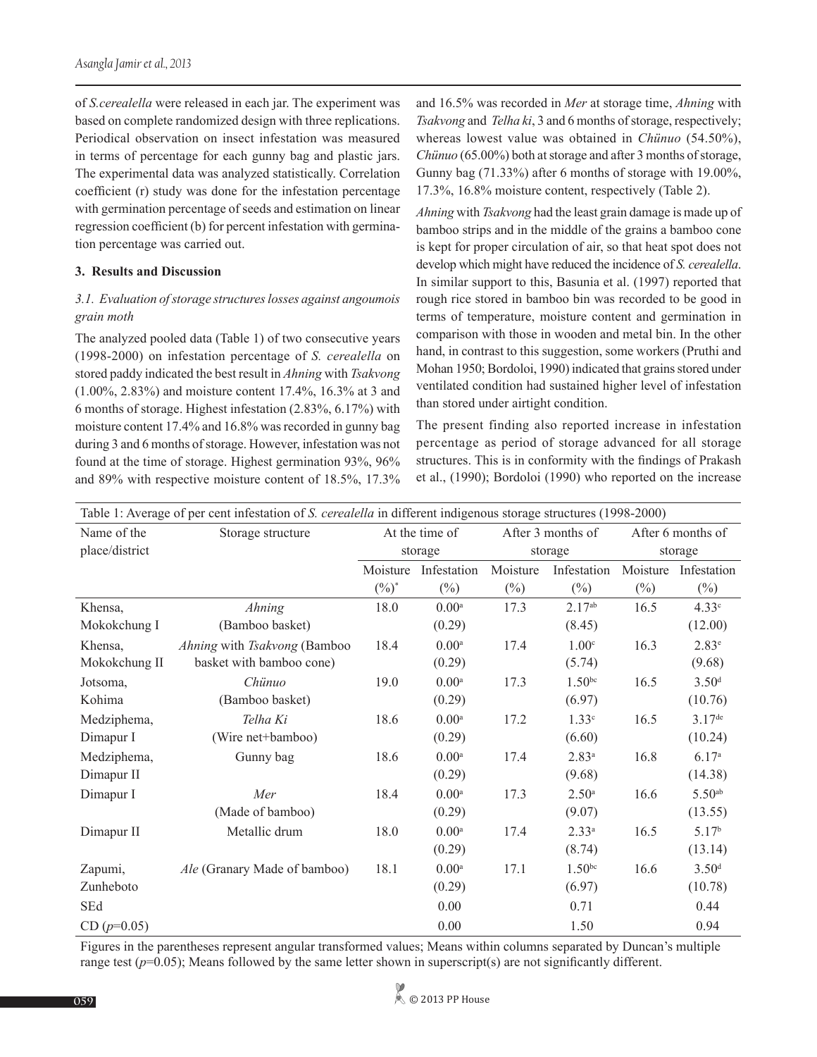of *S.cerealella* were released in each jar. The experiment was based on complete randomized design with three replications. Periodical observation on insect infestation was measured in terms of percentage for each gunny bag and plastic jars. The experimental data was analyzed statistically. Correlation coefficient (r) study was done for the infestation percentage with germination percentage of seeds and estimation on linear regression coefficient (b) for percent infestation with germination percentage was carried out.

# **3. Results and Discussion**

# *3.1. Evaluation of storage structures losses against angoumois grain moth*

The analyzed pooled data (Table 1) of two consecutive years (1998-2000) on infestation percentage of *S. cerealella* on stored paddy indicated the best result in *Ahning* with *Tsakvong* (1.00%, 2.83%) and moisture content 17.4%, 16.3% at 3 and 6 months of storage. Highest infestation (2.83%, 6.17%) with moisture content 17.4% and 16.8% was recorded in gunny bag during 3 and 6 months of storage. However, infestation was not found at the time of storage. Highest germination 93%, 96% and 89% with respective moisture content of 18.5%, 17.3% and 16.5% was recorded in *Mer* at storage time, *Ahning* with *Tsakvong* and *Telha ki*, 3 and 6 months of storage, respectively; whereas lowest value was obtained in *Chünuo* (54.50%), *Chünuo* (65.00%) both at storage and after 3 months of storage, Gunny bag (71.33%) after 6 months of storage with 19.00%, 17.3%, 16.8% moisture content, respectively (Table 2).

*Ahning* with *Tsakvong* had the least grain damage is made up of bamboo strips and in the middle of the grains a bamboo cone is kept for proper circulation of air, so that heat spot does not develop which might have reduced the incidence of *S. cerealella*. In similar support to this, Basunia et al. (1997) reported that rough rice stored in bamboo bin was recorded to be good in terms of temperature, moisture content and germination in comparison with those in wooden and metal bin. In the other hand, in contrast to this suggestion, some workers (Pruthi and Mohan 1950; Bordoloi, 1990) indicated that grains stored under ventilated condition had sustained higher level of infestation than stored under airtight condition.

The present finding also reported increase in infestation percentage as period of storage advanced for all storage structures. This is in conformity with the findings of Prakash et al., (1990); Bordoloi (1990) who reported on the increase

|                | Table 1: Average of per cent infestation of S. cerealella in different indigenous storage structures (1998-2000) |                |                   |                   |                    |                   |                      |
|----------------|------------------------------------------------------------------------------------------------------------------|----------------|-------------------|-------------------|--------------------|-------------------|----------------------|
| Name of the    | Storage structure                                                                                                | At the time of |                   | After 3 months of |                    | After 6 months of |                      |
| place/district |                                                                                                                  | storage        |                   | storage           |                    | storage           |                      |
|                |                                                                                                                  | Moisture       | Infestation       | Moisture          | Infestation        | Moisture          | Infestation          |
|                |                                                                                                                  | $(\%)^*$       | $(\%)$            | $(\%)$            | $(\%)$             | $(\%)$            | $(\%)$               |
| Khensa,        | Ahning                                                                                                           | 18.0           | 0.00 <sup>a</sup> | 17.3              | $2.17^{ab}$        | 16.5              | 4.33c                |
| Mokokchung I   | (Bamboo basket)                                                                                                  |                | (0.29)            |                   | (8.45)             |                   | (12.00)              |
| Khensa,        | Ahning with Tsakvong (Bamboo                                                                                     | 18.4           | 0.00 <sup>a</sup> | 17.4              | 1.00 <sup>c</sup>  | 16.3              | 2.83 <sup>e</sup>    |
| Mokokchung II  | basket with bamboo cone)                                                                                         |                | (0.29)            |                   | (5.74)             |                   | (9.68)               |
| Jotsoma,       | Chünuo                                                                                                           | 19.0           | 0.00 <sup>a</sup> | 17.3              | 1.50 <sup>bc</sup> | 16.5              | 3.50 <sup>d</sup>    |
| Kohima         | (Bamboo basket)                                                                                                  |                | (0.29)            |                   | (6.97)             |                   | (10.76)              |
| Medziphema,    | Telha Ki                                                                                                         | 18.6           | 0.00 <sup>a</sup> | 17.2              | 1.33 <sup>c</sup>  | 16.5              | $3.17$ <sup>de</sup> |
| Dimapur I      | (Wire net+bamboo)                                                                                                |                | (0.29)            |                   | (6.60)             |                   | (10.24)              |
| Medziphema,    | Gunny bag                                                                                                        | 18.6           | 0.00 <sup>a</sup> | 17.4              | $2.83^{a}$         | 16.8              | 6.17 <sup>a</sup>    |
| Dimapur II     |                                                                                                                  |                | (0.29)            |                   | (9.68)             |                   | (14.38)              |
| Dimapur I      | Mer                                                                                                              | 18.4           | 0.00 <sup>a</sup> | 17.3              | 2.50 <sup>a</sup>  | 16.6              | 5.50 <sup>ab</sup>   |
|                | (Made of bamboo)                                                                                                 |                | (0.29)            |                   | (9.07)             |                   | (13.55)              |
| Dimapur II     | Metallic drum                                                                                                    | 18.0           | 0.00 <sup>a</sup> | 17.4              | $2.33^{a}$         | 16.5              | 5.17 <sup>b</sup>    |
|                |                                                                                                                  |                | (0.29)            |                   | (8.74)             |                   | (13.14)              |
| Zapumi,        | Ale (Granary Made of bamboo)                                                                                     | 18.1           | $0.00^a$          | 17.1              | $1.50^{bc}$        | 16.6              | 3.50 <sup>d</sup>    |
| Zunheboto      |                                                                                                                  |                | (0.29)            |                   | (6.97)             |                   | (10.78)              |
| SEd            |                                                                                                                  |                | 0.00              |                   | 0.71               |                   | 0.44                 |
| $CD (p=0.05)$  |                                                                                                                  |                | 0.00              |                   | 1.50               |                   | 0.94                 |

Figures in the parentheses represent angular transformed values; Means within columns separated by Duncan's multiple range test  $(p=0.05)$ ; Means followed by the same letter shown in superscript(s) are not significantly different.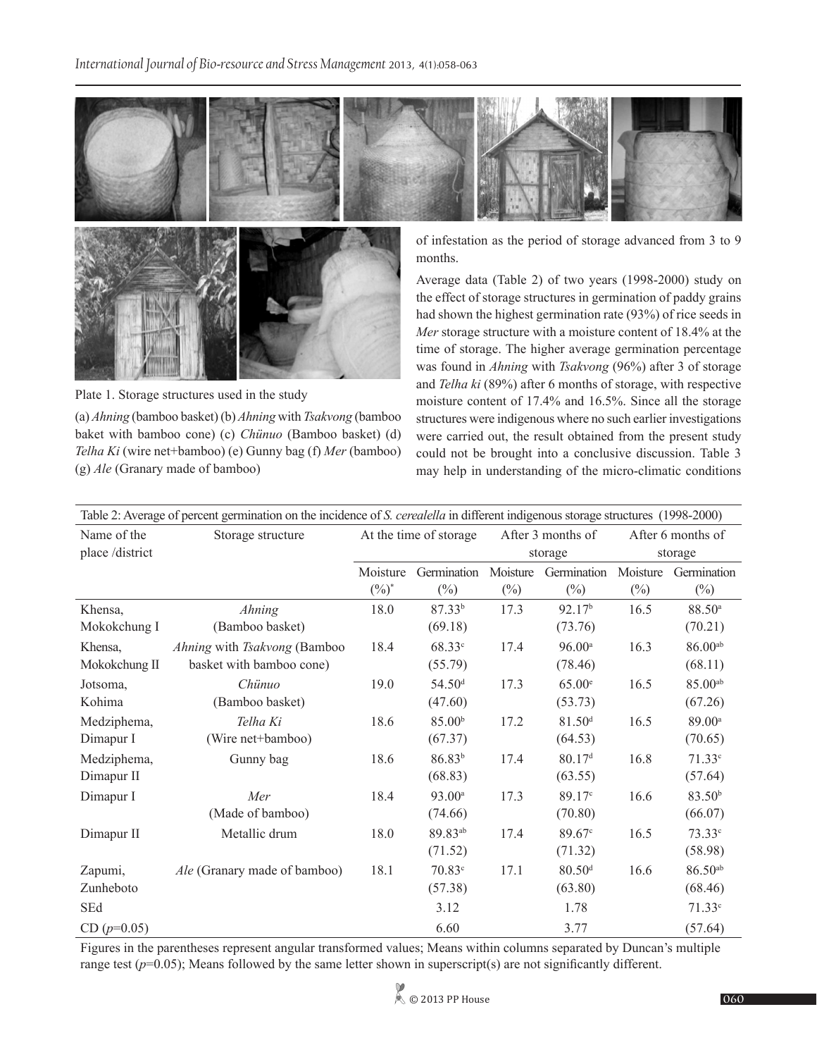



Plate 1. Storage structures used in the study

(a) *Ahning* (bamboo basket) (b) *Ahning* with *Tsakvong* (bamboo baket with bamboo cone) (c) *Chünuo* (Bamboo basket) (d) *Telha Ki* (wire net+bamboo) (e) Gunny bag (f) *Mer* (bamboo) (g) *Ale* (Granary made of bamboo)

of infestation as the period of storage advanced from 3 to 9 months.

Average data (Table 2) of two years (1998-2000) study on the effect of storage structures in germination of paddy grains had shown the highest germination rate (93%) of rice seeds in *Mer* storage structure with a moisture content of 18.4% at the time of storage. The higher average germination percentage was found in *Ahning* with *Tsakvong* (96%) after 3 of storage and *Telha ki* (89%) after 6 months of storage, with respective moisture content of 17.4% and 16.5%. Since all the storage structures were indigenous where no such earlier investigations were carried out, the result obtained from the present study could not be brought into a conclusive discussion. Table 3 may help in understanding of the micro-climatic conditions

| Table 2: Average of percent germination on the incidence of S. cerealella in different indigenous storage structures (1998-2000) |                              |                        |                    |                   |                      |                   |                      |  |  |
|----------------------------------------------------------------------------------------------------------------------------------|------------------------------|------------------------|--------------------|-------------------|----------------------|-------------------|----------------------|--|--|
| Name of the                                                                                                                      | Storage structure            | At the time of storage |                    | After 3 months of |                      | After 6 months of |                      |  |  |
| place/district                                                                                                                   |                              |                        |                    | storage           |                      | storage           |                      |  |  |
|                                                                                                                                  |                              | Moisture               | Germination        | Moisture          | Germination          | Moisture          | Germination          |  |  |
|                                                                                                                                  |                              | $(\%)^*$               | $(\%)$             | $(\%)$            | $(\%)$               | $(\%)$            | $(\%)$               |  |  |
| Khensa,                                                                                                                          | Ahning                       | 18.0                   | 87.33 <sup>b</sup> | 17.3              | 92.17 <sup>b</sup>   | 16.5              | $88.50$ <sup>a</sup> |  |  |
| Mokokchung I                                                                                                                     | (Bamboo basket)              |                        | (69.18)            |                   | (73.76)              |                   | (70.21)              |  |  |
| Khensa,                                                                                                                          | Ahning with Tsakvong (Bamboo | 18.4                   | 68.33c             | 17.4              | 96.00a               | 16.3              | 86.00 <sup>ab</sup>  |  |  |
| Mokokchung II                                                                                                                    | basket with bamboo cone)     |                        | (55.79)            |                   | (78.46)              |                   | (68.11)              |  |  |
| Jotsoma,                                                                                                                         | Chünuo                       | 19.0                   | 54.50 <sup>d</sup> | 17.3              | $65.00$ <sup>e</sup> | 16.5              | $85.00^{ab}$         |  |  |
| Kohima                                                                                                                           | (Bamboo basket)              |                        | (47.60)            |                   | (53.73)              |                   | (67.26)              |  |  |
| Medziphema,                                                                                                                      | Telha Ki                     | 18.6                   | 85.00 <sup>b</sup> | 17.2              | 81.50 <sup>d</sup>   | 16.5              | $89.00$ <sup>a</sup> |  |  |
| Dimapur I                                                                                                                        | (Wire net+bamboo)            |                        | (67.37)            |                   | (64.53)              |                   | (70.65)              |  |  |
| Medziphema,                                                                                                                      | Gunny bag                    | 18.6                   | 86.83 <sup>b</sup> | 17.4              | 80.17 <sup>d</sup>   | 16.8              | 71.33c               |  |  |
| Dimapur II                                                                                                                       |                              |                        | (68.83)            |                   | (63.55)              |                   | (57.64)              |  |  |
| Dimapur I                                                                                                                        | Mer                          | 18.4                   | 93.00a             | 17.3              | 89.17 <sup>c</sup>   | 16.6              | 83.50 <sup>b</sup>   |  |  |
|                                                                                                                                  | (Made of bamboo)             |                        | (74.66)            |                   | (70.80)              |                   | (66.07)              |  |  |
| Dimapur II                                                                                                                       | Metallic drum                | 18.0                   | 89.83ab            | 17.4              | 89.67 <sup>c</sup>   | 16.5              | 73.33c               |  |  |
|                                                                                                                                  |                              |                        | (71.52)            |                   | (71.32)              |                   | (58.98)              |  |  |
| Zapumi,                                                                                                                          | Ale (Granary made of bamboo) | 18.1                   | 70.83c             | 17.1              | 80.50 <sup>d</sup>   | 16.6              | $86.50^{ab}$         |  |  |
| Zunheboto                                                                                                                        |                              |                        | (57.38)            |                   | (63.80)              |                   | (68.46)              |  |  |
| SEd                                                                                                                              |                              |                        | 3.12               |                   | 1.78                 |                   | 71.33c               |  |  |
| $CD (p=0.05)$                                                                                                                    |                              |                        | 6.60               |                   | 3.77                 |                   | (57.64)              |  |  |

Figures in the parentheses represent angular transformed values; Means within columns separated by Duncan's multiple range test  $(p=0.05)$ ; Means followed by the same letter shown in superscript(s) are not significantly different.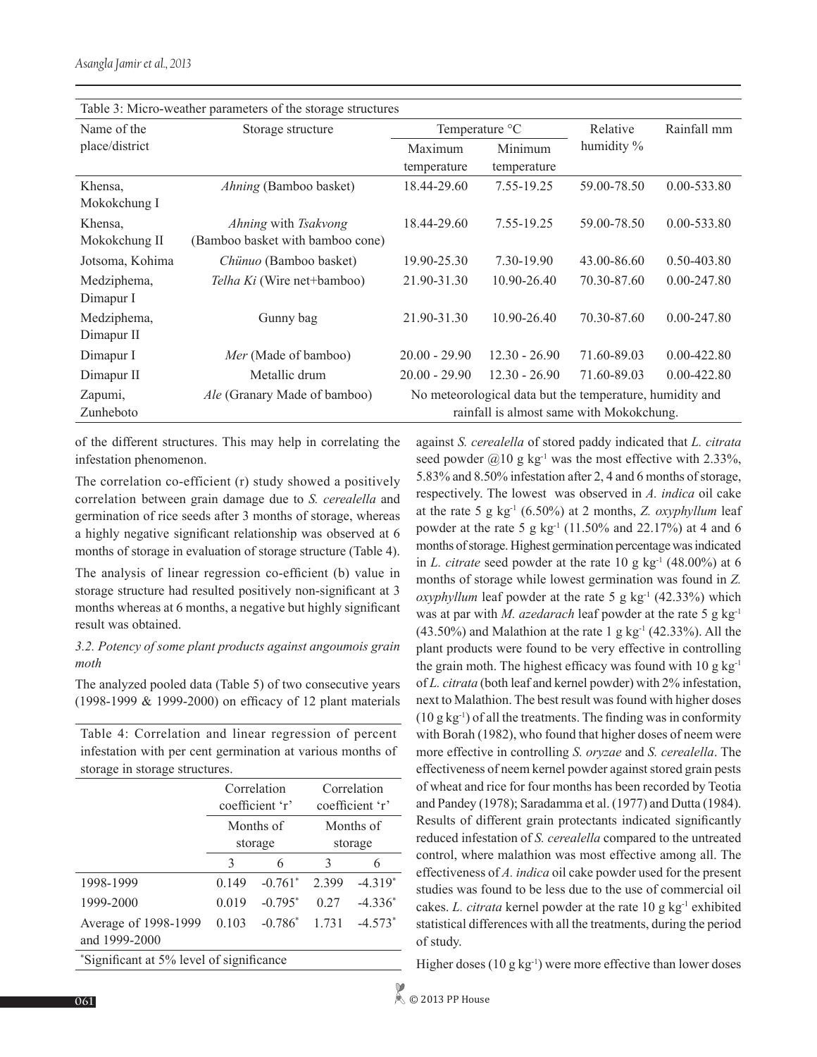infestation phenomenon.

| Table 3: Micro-weather parameters of the storage structures |                                  |                                                          |                 |             |                 |  |  |  |
|-------------------------------------------------------------|----------------------------------|----------------------------------------------------------|-----------------|-------------|-----------------|--|--|--|
| Name of the                                                 | Storage structure                | Temperature °C                                           |                 | Relative    | Rainfall mm     |  |  |  |
| place/district                                              |                                  | Maximum                                                  | Minimum         | humidity %  |                 |  |  |  |
|                                                             |                                  | temperature                                              | temperature     |             |                 |  |  |  |
| Khensa,                                                     | Ahning (Bamboo basket)           | 18.44-29.60                                              | 7.55-19.25      | 59.00-78.50 | $0.00 - 533.80$ |  |  |  |
| Mokokchung I                                                |                                  |                                                          |                 |             |                 |  |  |  |
| Khensa,                                                     | Ahning with Tsakvong             | 18.44-29.60                                              | 7.55-19.25      | 59.00-78.50 | $0.00 - 533.80$ |  |  |  |
| Mokokchung II                                               | (Bamboo basket with bamboo cone) |                                                          |                 |             |                 |  |  |  |
| Jotsoma, Kohima                                             | Chünuo (Bamboo basket)           | 19.90-25.30                                              | 7.30-19.90      | 43.00-86.60 | 0.50-403.80     |  |  |  |
| Medziphema,                                                 | Telha Ki (Wire net+bamboo)       | 21.90-31.30                                              | 10.90-26.40     | 70.30-87.60 | $0.00 - 247.80$ |  |  |  |
| Dimapur I                                                   |                                  |                                                          |                 |             |                 |  |  |  |
| Medziphema,                                                 | Gunny bag                        | 21.90-31.30                                              | $10.90 - 26.40$ | 70.30-87.60 | $0.00 - 247.80$ |  |  |  |
| Dimapur II                                                  |                                  |                                                          |                 |             |                 |  |  |  |
| Dimapur I                                                   | <i>Mer</i> (Made of bamboo)      | $20.00 - 29.90$                                          | $12.30 - 26.90$ | 71.60-89.03 | $0.00 - 422.80$ |  |  |  |
| Dimapur II                                                  | Metallic drum                    | $20.00 - 29.90$                                          | $12.30 - 26.90$ | 71.60-89.03 | $0.00 - 422.80$ |  |  |  |
| Zapumi,                                                     | Ale (Granary Made of bamboo)     | No meteorological data but the temperature, humidity and |                 |             |                 |  |  |  |
| Zunheboto                                                   |                                  | rainfall is almost same with Mokokchung.                 |                 |             |                 |  |  |  |

of the different structures. This may help in correlating the

The correlation co-efficient (r) study showed a positively correlation between grain damage due to *S. cerealella* and germination of rice seeds after 3 months of storage, whereas a highly negative significant relationship was observed at 6 months of storage in evaluation of storage structure (Table 4).

The analysis of linear regression co-efficient (b) value in storage structure had resulted positively non-significant at 3 months whereas at 6 months, a negative but highly significant result was obtained.

*3.2. Potency of some plant products against angoumois grain moth*

The analyzed pooled data (Table 5) of two consecutive years (1998-1999 & 1999-2000) on efficacy of 12 plant materials

Table 4: Correlation and linear regression of percent infestation with per cent germination at various months of storage in storage structures.

|                                         | Correlation<br>coefficient 'r' |            | Correlation<br>coefficient 'r' |           |  |
|-----------------------------------------|--------------------------------|------------|--------------------------------|-----------|--|
|                                         | Months of                      |            | Months of                      |           |  |
|                                         | storage                        |            | storage                        |           |  |
|                                         | 3                              | 6          | 3                              | 6         |  |
| 1998-1999                               | 0.149                          | $-0.761*$  | 2.399                          | $-4.319*$ |  |
| 1999-2000                               | 0.019                          | $-0.795^*$ | 0.27                           | $-4.336*$ |  |
| Average of 1998-1999                    | 0.103                          | $-0.786^*$ | 1.731                          | $-4.573*$ |  |
| and 1999-2000                           |                                |            |                                |           |  |
| Cignificant at 5% level of significance |                                |            |                                |           |  |

\* Significant at 5% level of significance

against *S. cerealella* of stored paddy indicated that *L. citrata*  seed powder  $(2.10 \text{ g kg}^{-1}$  was the most effective with 2.33%, 5.83% and 8.50% infestation after 2, 4 and 6 months of storage, respectively. The lowest was observed in *A. indica* oil cake at the rate 5 g kg-1 (6.50%) at 2 months, *Z. oxyphyllum* leaf powder at the rate 5 g kg-1 (11.50% and 22.17%) at 4 and 6 months of storage. Highest germination percentage was indicated in *L. citrate* seed powder at the rate  $10 \text{ g kg}^{-1}$  (48.00%) at 6 months of storage while lowest germination was found in *Z. oxyphyllum* leaf powder at the rate 5 g kg<sup>-1</sup> (42.33%) which was at par with *M. azedarach* leaf powder at the rate 5 g kg-1  $(43.50\%)$  and Malathion at the rate 1 g kg<sup>-1</sup>  $(42.33\%)$ . All the plant products were found to be very effective in controlling the grain moth. The highest efficacy was found with  $10 \text{ g kg}^{-1}$ of *L. citrata* (both leaf and kernel powder) with 2% infestation, next to Malathion. The best result was found with higher doses  $(10 \text{ g kg}^{-1})$  of all the treatments. The finding was in conformity with Borah (1982), who found that higher doses of neem were more effective in controlling *S. oryzae* and *S. cerealella*. The effectiveness of neem kernel powder against stored grain pests of wheat and rice for four months has been recorded by Teotia and Pandey (1978); Saradamma et al. (1977) and Dutta (1984). Results of different grain protectants indicated significantly reduced infestation of *S. cerealella* compared to the untreated control, where malathion was most effective among all. The effectiveness of *A. indica* oil cake powder used for the present studies was found to be less due to the use of commercial oil cakes. *L. citrata* kernel powder at the rate 10 g kg<sup>-1</sup> exhibited statistical differences with all the treatments, during the period of study.

Higher doses (10 g kg<sup>-1</sup>) were more effective than lower doses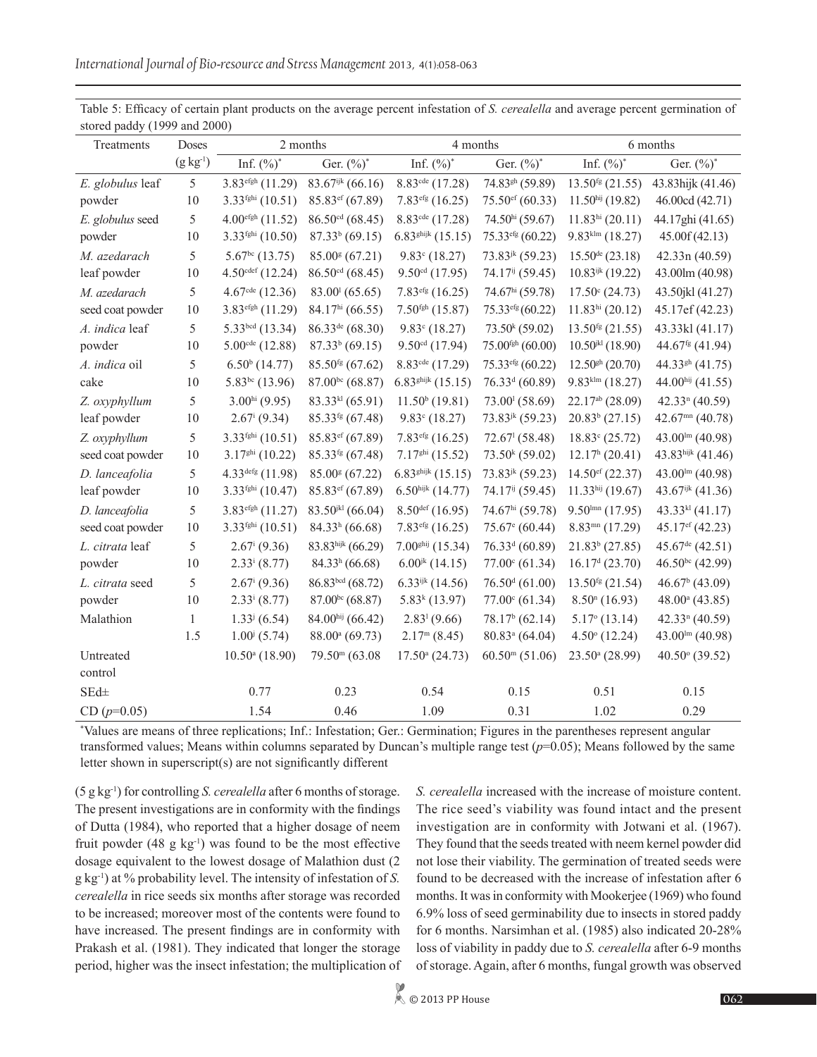| Treatments       | Doses            | 2 months                      |                                | 4 months                      |                               | 6 months                       |                                 |
|------------------|------------------|-------------------------------|--------------------------------|-------------------------------|-------------------------------|--------------------------------|---------------------------------|
|                  | $(g \, kg^{-1})$ | Inf. $(\%)^*$                 | Ger. $(\%)^*$                  | Inf. $(\%)^*$                 | Ger. $(\%)^*$                 | Inf. $(\%)^*$                  | Ger. $(\%)^*$                   |
| E. globulus leaf | 5                | $3.83^{\text{efgh}} (11.29)$  | $83.67$ <sup>ijk</sup> (66.16) | $8.83cde$ (17.28)             | 74.83 <sup>gh</sup> (59.89)   | $13.50fg$ (21.55)              | 43.83hijk (41.46)               |
| powder           | 10               | 3.33 <sup>fghi</sup> (10.51)  | 85.83ef (67.89)                | $7.83efg$ (16.25)             | $75.50$ <sup>ef</sup> (60.33) | $11.50hij$ (19.82)             | 46.00cd (42.71)                 |
| E. globulus seed | 5                | $4.00efgh$ (11.52)            | 86.50 <sup>cd</sup> (68.45)    | $8.83$ <sup>cde</sup> (17.28) | 74.50hi (59.67)               | $11.83hi$ (20.11)              | 44.17ghi (41.65)                |
| powder           | 10               | 3.33fghi (10.50)              | $87.33b$ (69.15)               | $6.83ghijk$ (15.15)           | 75.33efg (60.22)              | $9.83$ klm (18.27)             | 45.00f(42.13)                   |
| M. azedarach     | 5                | $5.67bc$ (13.75)              | 85.00 <sup>g</sup> (67.21)     | $9.83^{\circ}$ (18.27)        | $73.83^{jk}$ (59.23)          | $15.50^{\text{de}} (23.18)$    | 42.33n (40.59)                  |
| leaf powder      | $10\,$           | 4.50 <sup>cdef</sup> (12.24)  | $86.50cd$ (68.45)              | $9.50cd$ (17.95)              | 74.17 <sup>ij</sup> (59.45)   | $10.83$ ijk (19.22)            | 43.00lm (40.98)                 |
| M. azedarach     | 5                | $4.67cde$ (12.36)             | $83.00^{1}(65.65)$             | $7.83efg$ (16.25)             | 74.67hi (59.78)               | $17.50^{\circ}$ (24.73)        | 43.50jkl (41.27)                |
| seed coat powder | 10               | $3.83^{\text{efgh}}(11.29)$   | 84.17 <sup>hi</sup> (66.55)    | $7.50fgh$ (15.87)             | 75.33efg (60.22)              | $11.83hi$ (20.12)              | 45.17ef (42.23)                 |
| A. indica leaf   | 5                | 5.33bcd (13.34)               | $86.33$ <sup>de</sup> (68.30)  | $9.83^{\circ}$ (18.27)        | $73.50k$ (59.02)              | $13.50fg$ (21.55)              | 43.33kl (41.17)                 |
| powder           | 10               | $5.00$ <sup>cde</sup> (12.88) | $87.33b$ (69.15)               | $9.50cd$ (17.94)              | 75.00 <sup>fgh</sup> (60.00)  | $10.50$ <sup>jkl</sup> (18.90) | 44.67 <sup>fg</sup> (41.94)     |
| A. indica oil    | 5                | $6.50b$ (14.77)               | $85.50$ <sup>fg</sup> (67.62)  | $8.83cde$ (17.29)             | 75.33efg (60.22)              | $12.50gh$ (20.70)              | 44.33 <sup>gh</sup> (41.75)     |
| cake             | 10               | $5.83^{bc}$ (13.96)           | $87.00bc$ (68.87)              | $6.83ghijk$ (15.15)           | 76.33 <sup>d</sup> (60.89)    | $9.83$ <sup>klm</sup> (18.27)  | 44.00hij (41.55)                |
| Z. oxyphyllum    | 5                | $3.00hi$ (9.95)               | 83.33kl (65.91)                | $11.50b$ (19.81)              | 73.00 (58.69)                 | 22.17 <sup>ab</sup> (28.09)    | 42.33 <sup>n</sup> (40.59)      |
| leaf powder      | 10               | $2.67i$ (9.34)                | 85.33 <sup>fg</sup> (67.48)    | $9.83^{\circ}$ (18.27)        | 73.83jk (59.23)               | $20.83b$ (27.15)               | $42.67mn$ (40.78)               |
| Z. oxyphyllum    | 5                | 3.33 <sup>fghi</sup> (10.51)  | 85.83ef (67.89)                | $7.83efg$ (16.25)             | 72.67 <sup>1</sup> (58.48)    | $18.83^{\circ}$ (25.72)        | 43.00 $\text{Im}(40.98)$        |
| seed coat powder | 10               | 3.17 <sup>ghi</sup> (10.22)   | 85.33 <sup>fg</sup> (67.48)    | 7.17 <sup>ghi</sup> (15.52)   | $73.50k$ (59.02)              | 12.17 <sup>h</sup> (20.41)     | 43.83hijk (41.46)               |
| D. lanceafolia   | 5                | $4.33defg$ (11.98)            | 85.00 <sup>g</sup> (67.22)     | $6.83ghijk$ (15.15)           | 73.83 <sup>jk</sup> (59.23)   | $14.50$ <sup>ef</sup> (22.37)  | 43.00 $\rm{^{\rm{lm}}}$ (40.98) |
| leaf powder      | 10               | 3.33 <sup>fghi</sup> (10.47)  | 85.83ef (67.89)                | $6.50$ hijk (14.77)           | 74.17 <sup>ij</sup> (59.45)   | $11.33hij$ (19.67)             | 43.67ijk (41.36)                |
| D. lanceafolia   | 5                | $3.83efgh$ (11.27)            | 83.50 <sup>jkl</sup> (66.04)   | $8.50$ <sup>def</sup> (16.95) | 74.67hi (59.78)               | $9.50$ <sup>lmn</sup> (17.95)  | 43.33kl (41.17)                 |
| seed coat powder | 10               | 3.33 <sup>fghi</sup> (10.51)  | 84.33h (66.68)                 | $7.83efg$ (16.25)             | $75.67$ <sup>e</sup> (60.44)  | $8.83^{mn}$ (17.29)            | 45.17ef (42.23)                 |
| L. citrata leaf  | 5                | $2.67^{\mathrm{i}}$ (9.36)    | 83.83hijk (66.29)              | $7.00ghij$ (15.34)            | 76.33 <sup>d</sup> (60.89)    | $21.83b$ (27.85)               | 45.67 <sup>de</sup> (42.51)     |
| powder           | 10               | $2.33^{\mathrm{i}}(8.77)$     | 84.33 <sup>h</sup> (66.68)     | $6.00^{jk}$ (14.15)           | $77.00^{\circ}$ (61.34)       | $16.17d$ (23.70)               | 46.50 <sup>bc</sup> (42.99)     |
| L. citrata seed  | 5                | $2.67i$ (9.36)                | 86.83bcd (68.72)               | $6.33$ ijk (14.56)            | $76.50d$ (61.00)              | 13.50 <sup>fg</sup> (21.54)    | 46.67 <sup>b</sup> (43.09)      |
| powder           | 10               | $2.33^{\mathrm{i}}(8.77)$     | $87.00bc$ (68.87)              | $5.83k$ (13.97)               | $77.00^{\circ}$ (61.34)       | $8.50n$ (16.93)                | 48.00 $(43.85)$                 |
| Malathion        | $\mathbf{1}$     | $1.33^{j}(6.54)$              | 84.00hij (66.42)               | $2.83^{1}(9.66)$              | $78.17b$ (62.14)              | $5.17^{\circ}$ (13.14)         | 42.33 <sup>n</sup> (40.59)      |
|                  | 1.5              | $1.00^{j}$ (5.74)             | 88.00 <sup>a</sup> (69.73)     | 2.17 <sup>m</sup> (8.45)      | $80.83$ <sup>a</sup> (64.04)  | $4.50^{\circ}$ (12.24)         | 43.00 $\text{Im}(40.98)$        |
| Untreated        |                  | $10.50^{\circ}$ (18.90)       | 79.50 <sup>m</sup> (63.08)     | $17.50a$ (24.73)              | $60.50m$ (51.06)              | 23.50 <sup>a</sup> (28.99)     | 40.50 $\textdegree$ (39.52)     |
| control          |                  |                               |                                |                               |                               |                                |                                 |
| $SEd\pm$         |                  | 0.77                          | 0.23                           | 0.54                          | 0.15                          | 0.51                           | 0.15                            |
| $CD (p=0.05)$    |                  | 1.54                          | 0.46                           | 1.09                          | 0.31                          | 1.02                           | 0.29                            |

Table 5: Efficacy of certain plant products on the average percent infestation of *S. cerealella* and average percent germination of stored paddy (1999 and 2000)

\* Values are means of three replications; Inf.: Infestation; Ger.: Germination; Figures in the parentheses represent angular transformed values; Means within columns separated by Duncan's multiple range test  $(p=0.05)$ ; Means followed by the same letter shown in superscript(s) are not significantly different

(5 g kg-1) for controlling *S. cerealella* after 6 months of storage. The present investigations are in conformity with the findings of Dutta (1984), who reported that a higher dosage of neem fruit powder  $(48 \text{ g kg}^{-1})$  was found to be the most effective dosage equivalent to the lowest dosage of Malathion dust (2 g kg-1) at % probability level. The intensity of infestation of *S. cerealella* in rice seeds six months after storage was recorded to be increased; moreover most of the contents were found to have increased. The present findings are in conformity with Prakash et al. (1981). They indicated that longer the storage period, higher was the insect infestation; the multiplication of *S. cerealella* increased with the increase of moisture content. The rice seed's viability was found intact and the present investigation are in conformity with Jotwani et al. (1967). They found that the seeds treated with neem kernel powder did not lose their viability. The germination of treated seeds were found to be decreased with the increase of infestation after 6 months. It was in conformity with Mookerjee (1969) who found 6.9% loss of seed germinability due to insects in stored paddy for 6 months. Narsimhan et al. (1985) also indicated 20-28% loss of viability in paddy due to *S. cerealella* after 6-9 months of storage. Again, after 6 months, fungal growth was observed